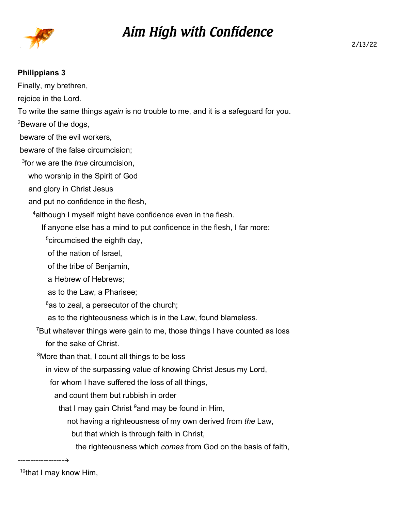

## *Aim High with Confidence*

## **Philippians 3**

Finally, my brethren, rejoice in the Lord. To write the same things *again* is no trouble to me, and it is a safeguard for you. <sup>2</sup>Beware of the dogs, beware of the evil workers, beware of the false circumcision; 3 for we are the *true* circumcision, who worship in the Spirit of God and glory in Christ Jesus and put no confidence in the flesh, <sup>4</sup> although I myself might have confidence even in the flesh. If anyone else has a mind to put confidence in the flesh, I far more: <sup>5</sup>circumcised the eighth day, of the nation of Israel, of the tribe of Benjamin, a Hebrew of Hebrews; as to the Law, a Pharisee;  $6$ as to zeal, a persecutor of the church; as to the righteousness which is in the Law, found blameless. <sup>7</sup>But whatever things were gain to me, those things I have counted as loss for the sake of Christ. <sup>8</sup>More than that, I count all things to be loss in view of the surpassing value of knowing Christ Jesus my Lord, for whom I have suffered the loss of all things, and count them but rubbish in order that I may gain Christ  $9$  and may be found in Him, not having a righteousness of my own derived from *the* Law,

but that which is through faith in Christ,

the righteousness which *comes* from God on the basis of faith,

------------------

<sup>10</sup>that I may know Him,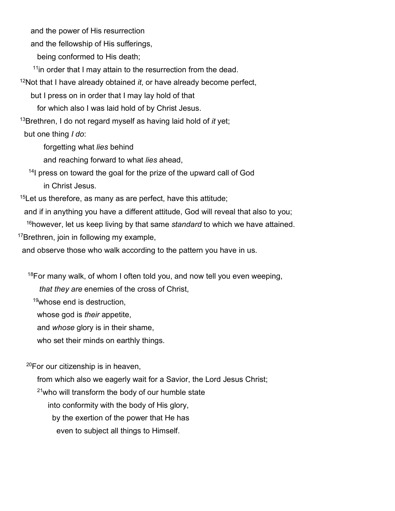and the power of His resurrection

and the fellowship of His sufferings,

being conformed to His death;

<sup>11</sup>in order that I may attain to the resurrection from the dead.

<sup>12</sup>Not that I have already obtained *it*, or have already become perfect,

but I press on in order that I may lay hold of that

for which also I was laid hold of by Christ Jesus.

<sup>13</sup>Brethren, I do not regard myself as having laid hold of *it* yet;

but one thing *I do*:

forgetting what *lies* behind

and reaching forward to what *lies* ahead,

<sup>14</sup>I press on toward the goal for the prize of the upward call of God in Christ Jesus.

 $15$ Let us therefore, as many as are perfect, have this attitude;

and if in anything you have a different attitude, God will reveal that also to you;

<sup>16</sup>however, let us keep living by that same *standard* to which we have attained.

<sup>17</sup>Brethren, join in following my example,

and observe those who walk according to the pattern you have in us.

 $18$ For many walk, of whom I often told you, and now tell you even weeping,

*that they are* enemies of the cross of Christ,

<sup>19</sup>whose end is destruction,

whose god is *their* appetite,

and *whose* glory is in their shame,

who set their minds on earthly things.

 $20$ For our citizenship is in heaven.

from which also we eagerly wait for a Savior, the Lord Jesus Christ;

 $21$ who will transform the body of our humble state

into conformity with the body of His glory,

by the exertion of the power that He has

even to subject all things to Himself.